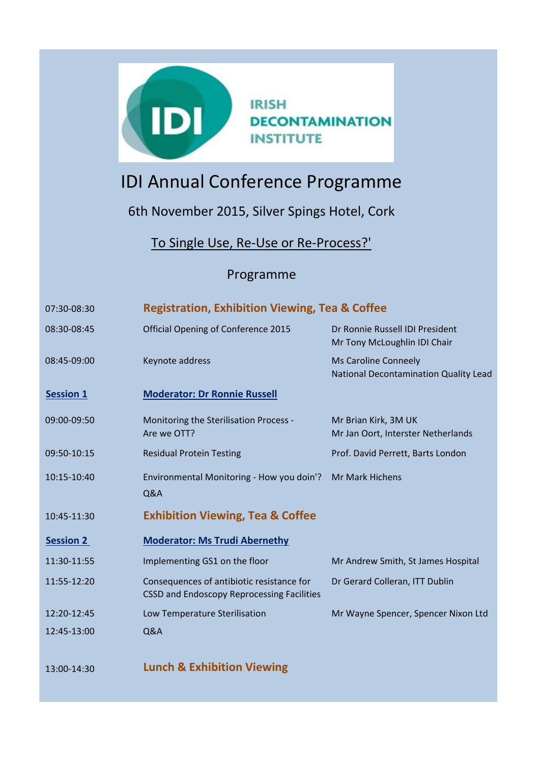

## IDI Annual Conference Programme

6th November 2015, Silver Spings Hotel, Cork

To Single Use, Re-Use or Re-Process?'

## Programme

| 07:30-08:30      | <b>Registration, Exhibition Viewing, Tea &amp; Coffee</b>                                      |                                                                 |
|------------------|------------------------------------------------------------------------------------------------|-----------------------------------------------------------------|
| 08:30-08:45      | Official Opening of Conference 2015                                                            | Dr Ronnie Russell IDI President<br>Mr Tony McLoughlin IDI Chair |
| 08:45-09:00      | Keynote address                                                                                | Ms Caroline Conneely<br>National Decontamination Quality Lead   |
| <b>Session 1</b> | <b>Moderator: Dr Ronnie Russell</b>                                                            |                                                                 |
| 09:00-09:50      | Monitoring the Sterilisation Process -<br>Are we OTT?                                          | Mr Brian Kirk, 3M UK<br>Mr Jan Oort, Interster Netherlands      |
| 09:50-10:15      | <b>Residual Protein Testing</b>                                                                | Prof. David Perrett, Barts London                               |
| 10:15-10:40      | Environmental Monitoring - How you doin'?<br>Q&A                                               | <b>Mr Mark Hichens</b>                                          |
| 10:45-11:30      | <b>Exhibition Viewing, Tea &amp; Coffee</b>                                                    |                                                                 |
| <b>Session 2</b> | <b>Moderator: Ms Trudi Abernethy</b>                                                           |                                                                 |
| 11:30-11:55      | Implementing GS1 on the floor                                                                  | Mr Andrew Smith, St James Hospital                              |
| 11:55-12:20      | Consequences of antibiotic resistance for<br><b>CSSD and Endoscopy Reprocessing Facilities</b> | Dr Gerard Colleran, ITT Dublin                                  |
| 12:20-12:45      | Low Temperature Sterilisation                                                                  | Mr Wayne Spencer, Spencer Nixon Ltd                             |
| 12:45-13:00      | Q&A                                                                                            |                                                                 |
| 13:00-14:30      | <b>Lunch &amp; Exhibition Viewing</b>                                                          |                                                                 |